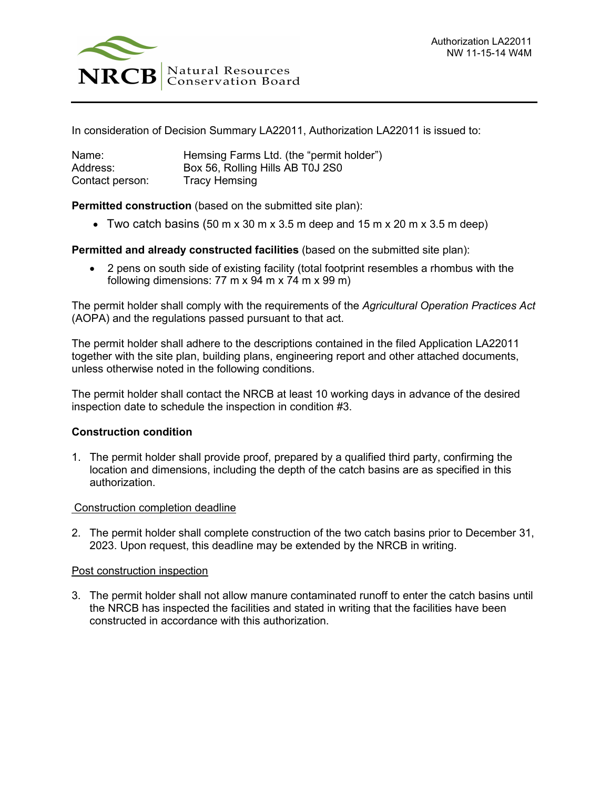

In consideration of Decision Summary LA22011, Authorization LA22011 is issued to:

| Name:           | Hemsing Farms Ltd. (the "permit holder") |
|-----------------|------------------------------------------|
| Address:        | Box 56, Rolling Hills AB T0J 2S0         |
| Contact person: | <b>Tracy Hemsing</b>                     |

**Permitted construction** (based on the submitted site plan):

• Two catch basins (50 m x 30 m x 3.5 m deep and 15 m x 20 m x 3.5 m deep)

**Permitted and already constructed facilities** (based on the submitted site plan):

• 2 pens on south side of existing facility (total footprint resembles a rhombus with the following dimensions:  $77 \text{ m} \times 94 \text{ m} \times 74 \text{ m} \times 99 \text{ m}$ )

The permit holder shall comply with the requirements of the *Agricultural Operation Practices Act* (AOPA) and the regulations passed pursuant to that act.

The permit holder shall adhere to the descriptions contained in the filed Application LA22011 together with the site plan, building plans, engineering report and other attached documents, unless otherwise noted in the following conditions.

The permit holder shall contact the NRCB at least 10 working days in advance of the desired inspection date to schedule the inspection in condition #3.

## **Construction condition**

1. The permit holder shall provide proof, prepared by a qualified third party, confirming the location and dimensions, including the depth of the catch basins are as specified in this authorization.

## Construction completion deadline

2. The permit holder shall complete construction of the two catch basins prior to December 31, 2023. Upon request, this deadline may be extended by the NRCB in writing.

## Post construction inspection

3. The permit holder shall not allow manure contaminated runoff to enter the catch basins until the NRCB has inspected the facilities and stated in writing that the facilities have been constructed in accordance with this authorization.